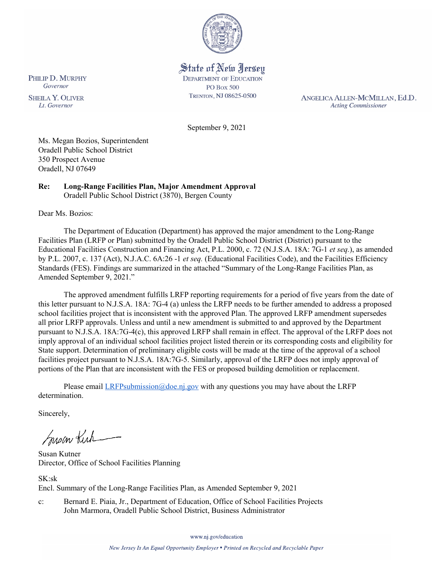

State of New Jersey **DEPARTMENT OF EDUCATION PO Box 500** TRENTON, NJ 08625-0500

ANGELICA ALLEN-MCMILLAN, Ed.D. **Acting Commissioner** 

September 9, 2021

Ms. Megan Bozios, Superintendent Oradell Public School District 350 Prospect Avenue Oradell, NJ 07649

#### **Re: Long-Range Facilities Plan, Major Amendment Approval**  Oradell Public School District (3870), Bergen County

Dear Ms. Bozios:

The Department of Education (Department) has approved the major amendment to the Long-Range Facilities Plan (LRFP or Plan) submitted by the Oradell Public School District (District) pursuant to the Educational Facilities Construction and Financing Act, P.L. 2000, c. 72 (N.J.S.A. 18A: 7G-1 *et seq.*), as amended by P.L. 2007, c. 137 (Act), N.J.A.C. 6A:26 -1 *et seq.* (Educational Facilities Code), and the Facilities Efficiency Standards (FES). Findings are summarized in the attached "Summary of the Long-Range Facilities Plan, as Amended September 9, 2021."

The approved amendment fulfills LRFP reporting requirements for a period of five years from the date of this letter pursuant to N.J.S.A. 18A: 7G-4 (a) unless the LRFP needs to be further amended to address a proposed school facilities project that is inconsistent with the approved Plan. The approved LRFP amendment supersedes all prior LRFP approvals. Unless and until a new amendment is submitted to and approved by the Department pursuant to N.J.S.A. 18A:7G-4(c), this approved LRFP shall remain in effect. The approval of the LRFP does not imply approval of an individual school facilities project listed therein or its corresponding costs and eligibility for State support. Determination of preliminary eligible costs will be made at the time of the approval of a school facilities project pursuant to N.J.S.A. 18A:7G-5. Similarly, approval of the LRFP does not imply approval of portions of the Plan that are inconsistent with the FES or proposed building demolition or replacement.

Please email  $LRFP submission@doe.nj.gov$  with any questions you may have about the LRFP determination.

Sincerely,

Susan Kich

Susan Kutner Director, Office of School Facilities Planning

SK:sk Encl. Summary of the Long-Range Facilities Plan, as Amended September 9, 2021

c: Bernard E. Piaia, Jr., Department of Education, Office of School Facilities Projects John Marmora, Oradell Public School District, Business Administrator

www.nj.gov/education

PHILIP D. MURPHY Governor

**SHEILA Y. OLIVER** Lt. Governor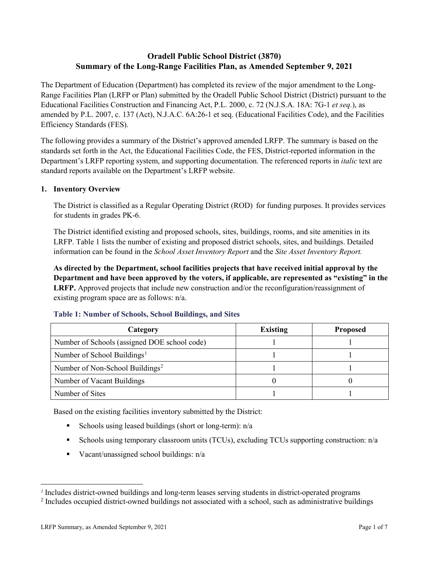# **Oradell Public School District (3870) Summary of the Long-Range Facilities Plan, as Amended September 9, 2021**

The Department of Education (Department) has completed its review of the major amendment to the Long-Range Facilities Plan (LRFP or Plan) submitted by the Oradell Public School District (District) pursuant to the Educational Facilities Construction and Financing Act, P.L. 2000, c. 72 (N.J.S.A. 18A: 7G-1 *et seq.*), as amended by P.L. 2007, c. 137 (Act), N.J.A.C. 6A:26-1 et seq. (Educational Facilities Code), and the Facilities Efficiency Standards (FES).

The following provides a summary of the District's approved amended LRFP. The summary is based on the standards set forth in the Act, the Educational Facilities Code, the FES, District-reported information in the Department's LRFP reporting system, and supporting documentation. The referenced reports in *italic* text are standard reports available on the Department's LRFP website.

#### **1. Inventory Overview**

The District is classified as a Regular Operating District (ROD) for funding purposes. It provides services for students in grades PK-6.

The District identified existing and proposed schools, sites, buildings, rooms, and site amenities in its LRFP. Table 1 lists the number of existing and proposed district schools, sites, and buildings. Detailed information can be found in the *School Asset Inventory Report* and the *Site Asset Inventory Report.*

**As directed by the Department, school facilities projects that have received initial approval by the Department and have been approved by the voters, if applicable, are represented as "existing" in the LRFP.** Approved projects that include new construction and/or the reconfiguration/reassignment of existing program space are as follows: n/a.

| Category                                     | <b>Existing</b> | <b>Proposed</b> |
|----------------------------------------------|-----------------|-----------------|
| Number of Schools (assigned DOE school code) |                 |                 |
| Number of School Buildings <sup>1</sup>      |                 |                 |
| Number of Non-School Buildings <sup>2</sup>  |                 |                 |
| Number of Vacant Buildings                   |                 |                 |
| Number of Sites                              |                 |                 |

#### **Table 1: Number of Schools, School Buildings, and Sites**

Based on the existing facilities inventory submitted by the District:

- Schools using leased buildings (short or long-term):  $n/a$
- Schools using temporary classroom units (TCUs), excluding TCUs supporting construction: n/a
- Vacant/unassigned school buildings:  $n/a$

 $\overline{a}$ 

<span id="page-1-1"></span><span id="page-1-0"></span>*<sup>1</sup>* Includes district-owned buildings and long-term leases serving students in district-operated programs

<sup>&</sup>lt;sup>2</sup> Includes occupied district-owned buildings not associated with a school, such as administrative buildings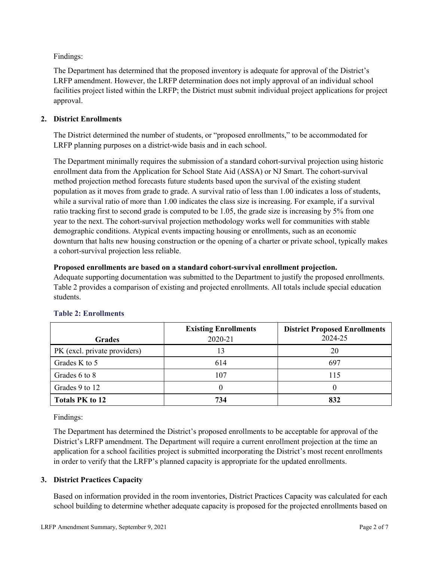Findings:

The Department has determined that the proposed inventory is adequate for approval of the District's LRFP amendment. However, the LRFP determination does not imply approval of an individual school facilities project listed within the LRFP; the District must submit individual project applications for project approval.

# **2. District Enrollments**

The District determined the number of students, or "proposed enrollments," to be accommodated for LRFP planning purposes on a district-wide basis and in each school.

The Department minimally requires the submission of a standard cohort-survival projection using historic enrollment data from the Application for School State Aid (ASSA) or NJ Smart. The cohort-survival method projection method forecasts future students based upon the survival of the existing student population as it moves from grade to grade. A survival ratio of less than 1.00 indicates a loss of students, while a survival ratio of more than 1.00 indicates the class size is increasing. For example, if a survival ratio tracking first to second grade is computed to be 1.05, the grade size is increasing by 5% from one year to the next. The cohort-survival projection methodology works well for communities with stable demographic conditions. Atypical events impacting housing or enrollments, such as an economic downturn that halts new housing construction or the opening of a charter or private school, typically makes a cohort-survival projection less reliable.

## **Proposed enrollments are based on a standard cohort-survival enrollment projection.**

Adequate supporting documentation was submitted to the Department to justify the proposed enrollments. Table 2 provides a comparison of existing and projected enrollments. All totals include special education students.

|                              | <b>Existing Enrollments</b> | <b>District Proposed Enrollments</b> |
|------------------------------|-----------------------------|--------------------------------------|
| <b>Grades</b>                | 2020-21                     | 2024-25                              |
| PK (excl. private providers) |                             | 20                                   |
| Grades K to 5                | 614                         | 697                                  |
| Grades 6 to 8                | 107                         | 115                                  |
| Grades 9 to 12               |                             |                                      |
| <b>Totals PK to 12</b>       | 734                         | 832                                  |

# **Table 2: Enrollments**

Findings:

The Department has determined the District's proposed enrollments to be acceptable for approval of the District's LRFP amendment. The Department will require a current enrollment projection at the time an application for a school facilities project is submitted incorporating the District's most recent enrollments in order to verify that the LRFP's planned capacity is appropriate for the updated enrollments.

## **3. District Practices Capacity**

Based on information provided in the room inventories, District Practices Capacity was calculated for each school building to determine whether adequate capacity is proposed for the projected enrollments based on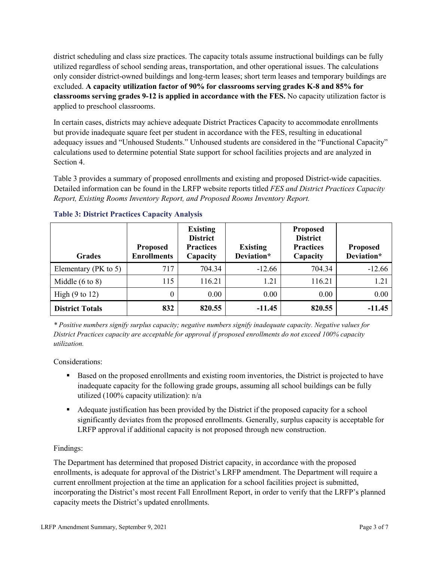district scheduling and class size practices. The capacity totals assume instructional buildings can be fully utilized regardless of school sending areas, transportation, and other operational issues. The calculations only consider district-owned buildings and long-term leases; short term leases and temporary buildings are excluded. **A capacity utilization factor of 90% for classrooms serving grades K-8 and 85% for classrooms serving grades 9-12 is applied in accordance with the FES.** No capacity utilization factor is applied to preschool classrooms.

In certain cases, districts may achieve adequate District Practices Capacity to accommodate enrollments but provide inadequate square feet per student in accordance with the FES, resulting in educational adequacy issues and "Unhoused Students." Unhoused students are considered in the "Functional Capacity" calculations used to determine potential State support for school facilities projects and are analyzed in Section 4.

Table 3 provides a summary of proposed enrollments and existing and proposed District-wide capacities. Detailed information can be found in the LRFP website reports titled *FES and District Practices Capacity Report, Existing Rooms Inventory Report, and Proposed Rooms Inventory Report.*

| <b>Grades</b>              | <b>Proposed</b><br><b>Enrollments</b> | <b>Existing</b><br><b>District</b><br><b>Practices</b><br>Capacity | <b>Existing</b><br>Deviation* | <b>Proposed</b><br><b>District</b><br><b>Practices</b><br>Capacity | <b>Proposed</b><br>Deviation* |
|----------------------------|---------------------------------------|--------------------------------------------------------------------|-------------------------------|--------------------------------------------------------------------|-------------------------------|
| Elementary ( $PK$ to 5)    | 717                                   | 704.34                                                             | $-12.66$                      | 704.34                                                             | $-12.66$                      |
| Middle $(6 \text{ to } 8)$ | 115                                   | 116.21                                                             | 1.21                          | 116.21                                                             | 1.21                          |
| High $(9 \text{ to } 12)$  | 0                                     | 0.00                                                               | 0.00                          | 0.00                                                               | 0.00                          |
| <b>District Totals</b>     | 832                                   | 820.55                                                             | $-11.45$                      | 820.55                                                             | $-11.45$                      |

## **Table 3: District Practices Capacity Analysis**

*\* Positive numbers signify surplus capacity; negative numbers signify inadequate capacity. Negative values for District Practices capacity are acceptable for approval if proposed enrollments do not exceed 100% capacity utilization.*

Considerations:

- Based on the proposed enrollments and existing room inventories, the District is projected to have inadequate capacity for the following grade groups, assuming all school buildings can be fully utilized (100% capacity utilization): n/a
- Adequate justification has been provided by the District if the proposed capacity for a school significantly deviates from the proposed enrollments. Generally, surplus capacity is acceptable for LRFP approval if additional capacity is not proposed through new construction.

## Findings:

The Department has determined that proposed District capacity, in accordance with the proposed enrollments, is adequate for approval of the District's LRFP amendment. The Department will require a current enrollment projection at the time an application for a school facilities project is submitted, incorporating the District's most recent Fall Enrollment Report, in order to verify that the LRFP's planned capacity meets the District's updated enrollments.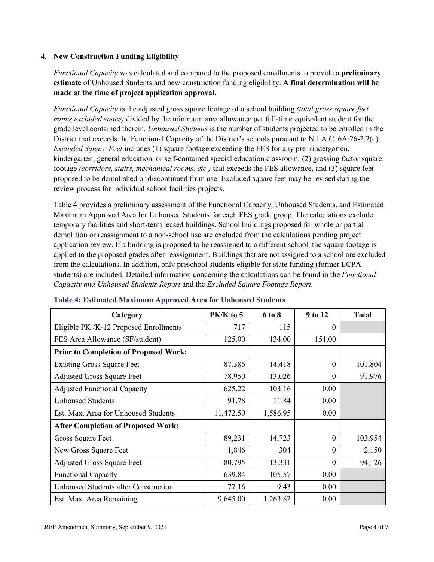#### **4. New Construction Funding Eligibility**

*Functional Capacity* was calculated and compared to the proposed enrollments to provide a **preliminary estimate** of Unhoused Students and new construction funding eligibility. **A final determination will be made at the time of project application approval.**

*Functional Capacity* is the adjusted gross square footage of a school building *(total gross square feet minus excluded space)* divided by the minimum area allowance per full-time equivalent student for the grade level contained therein. *Unhoused Students* is the number of students projected to be enrolled in the District that exceeds the Functional Capacity of the District's schools pursuant to N.J.A.C. 6A:26-2.2(c). *Excluded Square Feet* includes (1) square footage exceeding the FES for any pre-kindergarten, kindergarten, general education, or self-contained special education classroom; (2) grossing factor square footage *(corridors, stairs, mechanical rooms, etc.)* that exceeds the FES allowance, and (3) square feet proposed to be demolished or discontinued from use. Excluded square feet may be revised during the review process for individual school facilities projects.

Table 4 provides a preliminary assessment of the Functional Capacity, Unhoused Students, and Estimated Maximum Approved Area for Unhoused Students for each FES grade group. The calculations exclude temporary facilities and short-term leased buildings. School buildings proposed for whole or partial demolition or reassignment to a non-school use are excluded from the calculations pending project application review. If a building is proposed to be reassigned to a different school, the square footage is applied to the proposed grades after reassignment. Buildings that are not assigned to a school are excluded from the calculations. In addition, only preschool students eligible for state funding (former ECPA students) are included. Detailed information concerning the calculations can be found in the *Functional Capacity and Unhoused Students Report* and the *Excluded Square Footage Report.*

| Category                                     | $PK/K$ to 5 | 6 to 8   | 9 to 12  | <b>Total</b> |
|----------------------------------------------|-------------|----------|----------|--------------|
| Eligible PK /K-12 Proposed Enrollments       | 717         | 115      | 0        |              |
| FES Area Allowance (SF/student)              | 125.00      | 134.00   | 151.00   |              |
| <b>Prior to Completion of Proposed Work:</b> |             |          |          |              |
| <b>Existing Gross Square Feet</b>            | 87,386      | 14,418   | 0        | 101,804      |
| <b>Adjusted Gross Square Feet</b>            | 78,950      | 13,026   | $\theta$ | 91,976       |
| <b>Adjusted Functional Capacity</b>          | 625.22      | 103.16   | 0.00     |              |
| <b>Unhoused Students</b>                     | 91.78       | 11.84    | 0.00     |              |
| Est. Max. Area for Unhoused Students         | 11,472.50   | 1,586.95 | 0.00     |              |
| <b>After Completion of Proposed Work:</b>    |             |          |          |              |
| Gross Square Feet                            | 89,231      | 14,723   | $\theta$ | 103,954      |
| New Gross Square Feet                        | 1,846       | 304      | $\Omega$ | 2,150        |
| <b>Adjusted Gross Square Feet</b>            | 80,795      | 13,331   | $\Omega$ | 94,126       |
| <b>Functional Capacity</b>                   | 639.84      | 105.57   | 0.00     |              |
| Unhoused Students after Construction         | 77.16       | 9.43     | 0.00     |              |
| Est. Max. Area Remaining                     | 9,645.00    | 1,263.82 | 0.00     |              |

#### **Table 4: Estimated Maximum Approved Area for Unhoused Students**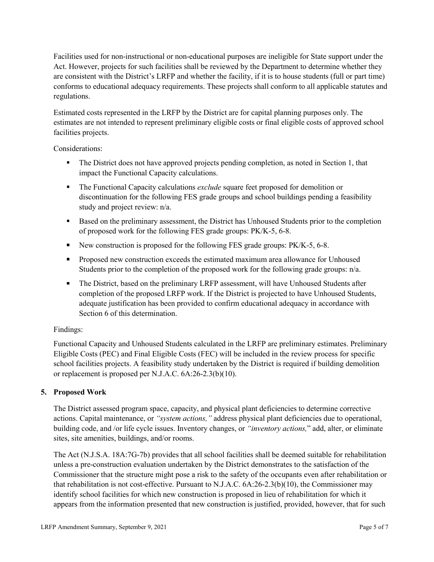Facilities used for non-instructional or non-educational purposes are ineligible for State support under the Act. However, projects for such facilities shall be reviewed by the Department to determine whether they are consistent with the District's LRFP and whether the facility, if it is to house students (full or part time) conforms to educational adequacy requirements. These projects shall conform to all applicable statutes and regulations.

Estimated costs represented in the LRFP by the District are for capital planning purposes only. The estimates are not intended to represent preliminary eligible costs or final eligible costs of approved school facilities projects.

Considerations:

- The District does not have approved projects pending completion, as noted in Section 1, that impact the Functional Capacity calculations.
- **The Functional Capacity calculations** *exclude* square feet proposed for demolition or discontinuation for the following FES grade groups and school buildings pending a feasibility study and project review: n/a.
- Based on the preliminary assessment, the District has Unhoused Students prior to the completion of proposed work for the following FES grade groups: PK/K-5, 6-8.
- New construction is proposed for the following FES grade groups: PK/K-5, 6-8.
- Proposed new construction exceeds the estimated maximum area allowance for Unhoused Students prior to the completion of the proposed work for the following grade groups: n/a.
- The District, based on the preliminary LRFP assessment, will have Unhoused Students after completion of the proposed LRFP work. If the District is projected to have Unhoused Students, adequate justification has been provided to confirm educational adequacy in accordance with Section 6 of this determination.

## Findings:

Functional Capacity and Unhoused Students calculated in the LRFP are preliminary estimates. Preliminary Eligible Costs (PEC) and Final Eligible Costs (FEC) will be included in the review process for specific school facilities projects. A feasibility study undertaken by the District is required if building demolition or replacement is proposed per N.J.A.C. 6A:26-2.3(b)(10).

## **5. Proposed Work**

The District assessed program space, capacity, and physical plant deficiencies to determine corrective actions. Capital maintenance, or *"system actions,"* address physical plant deficiencies due to operational, building code, and /or life cycle issues. Inventory changes, or *"inventory actions,*" add, alter, or eliminate sites, site amenities, buildings, and/or rooms.

The Act (N.J.S.A. 18A:7G-7b) provides that all school facilities shall be deemed suitable for rehabilitation unless a pre-construction evaluation undertaken by the District demonstrates to the satisfaction of the Commissioner that the structure might pose a risk to the safety of the occupants even after rehabilitation or that rehabilitation is not cost-effective. Pursuant to N.J.A.C. 6A:26-2.3(b)(10), the Commissioner may identify school facilities for which new construction is proposed in lieu of rehabilitation for which it appears from the information presented that new construction is justified, provided, however, that for such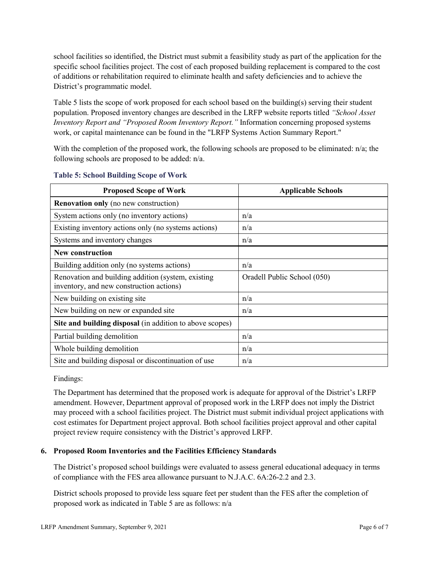school facilities so identified, the District must submit a feasibility study as part of the application for the specific school facilities project. The cost of each proposed building replacement is compared to the cost of additions or rehabilitation required to eliminate health and safety deficiencies and to achieve the District's programmatic model.

Table 5 lists the scope of work proposed for each school based on the building(s) serving their student population. Proposed inventory changes are described in the LRFP website reports titled *"School Asset Inventory Report and "Proposed Room Inventory Report."* Information concerning proposed systems work, or capital maintenance can be found in the "LRFP Systems Action Summary Report."

With the completion of the proposed work, the following schools are proposed to be eliminated: n/a; the following schools are proposed to be added: n/a.

| <b>Proposed Scope of Work</b>                                                                  | <b>Applicable Schools</b>   |
|------------------------------------------------------------------------------------------------|-----------------------------|
| <b>Renovation only</b> (no new construction)                                                   |                             |
| System actions only (no inventory actions)                                                     | n/a                         |
| Existing inventory actions only (no systems actions)                                           | n/a                         |
| Systems and inventory changes                                                                  | n/a                         |
| <b>New construction</b>                                                                        |                             |
| Building addition only (no systems actions)                                                    | n/a                         |
| Renovation and building addition (system, existing<br>inventory, and new construction actions) | Oradell Public School (050) |
| New building on existing site                                                                  | n/a                         |
| New building on new or expanded site                                                           | n/a                         |
| Site and building disposal (in addition to above scopes)                                       |                             |
| Partial building demolition                                                                    | n/a                         |
| Whole building demolition                                                                      | n/a                         |
| Site and building disposal or discontinuation of use                                           | n/a                         |

#### **Table 5: School Building Scope of Work**

Findings:

The Department has determined that the proposed work is adequate for approval of the District's LRFP amendment. However, Department approval of proposed work in the LRFP does not imply the District may proceed with a school facilities project. The District must submit individual project applications with cost estimates for Department project approval. Both school facilities project approval and other capital project review require consistency with the District's approved LRFP.

## **6. Proposed Room Inventories and the Facilities Efficiency Standards**

The District's proposed school buildings were evaluated to assess general educational adequacy in terms of compliance with the FES area allowance pursuant to N.J.A.C. 6A:26-2.2 and 2.3.

District schools proposed to provide less square feet per student than the FES after the completion of proposed work as indicated in Table 5 are as follows: n/a